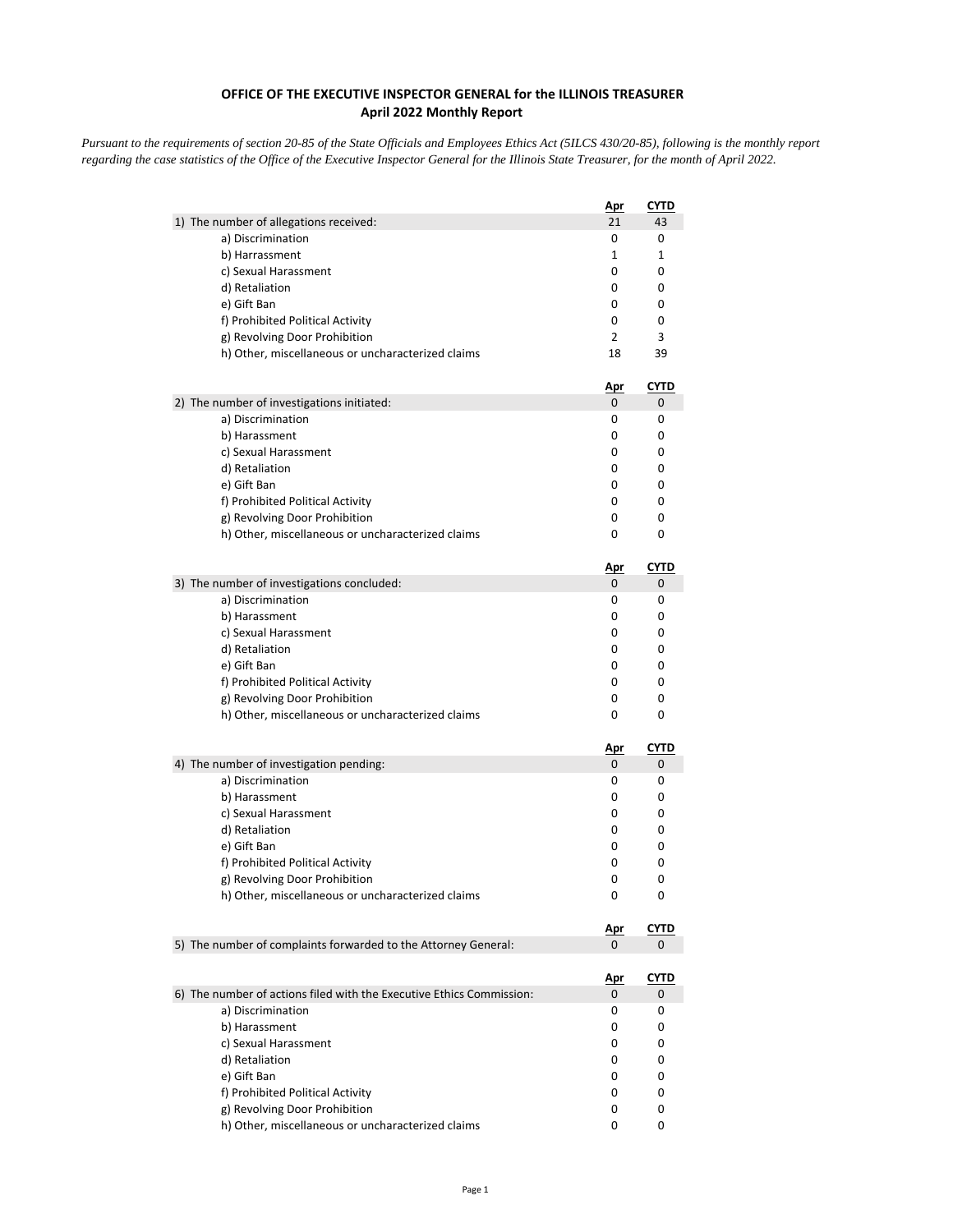## **OFFICE OF THE EXECUTIVE INSPECTOR GENERAL for the ILLINOIS TREASURER April 2022 Monthly Report**

*Pursuant to the requirements of section 20-85 of the State Officials and Employees Ethics Act (5ILCS 430/20-85), following is the monthly report regarding the case statistics of the Office of the Executive Inspector General for the Illinois State Treasurer, for the month of April 2022.* 

|                                                                      | <u>Apr</u>      | <u>CYTD</u>      |
|----------------------------------------------------------------------|-----------------|------------------|
| 1) The number of allegations received:                               | 21              | 43               |
| a) Discrimination                                                    | 0               | 0                |
| b) Harrassment                                                       | 1               | 1                |
| c) Sexual Harassment                                                 | 0               | 0                |
| d) Retaliation                                                       | 0               | 0                |
| e) Gift Ban                                                          | 0               | 0                |
| f) Prohibited Political Activity                                     | 0               | 0                |
| g) Revolving Door Prohibition                                        | $\overline{2}$  | 3                |
| h) Other, miscellaneous or uncharacterized claims                    | 18              | 39               |
|                                                                      |                 |                  |
| 2) The number of investigations initiated:                           | <u>Apr</u><br>0 | <u>CYTD</u><br>0 |
| a) Discrimination                                                    | 0               | 0                |
| b) Harassment                                                        | 0               | 0                |
|                                                                      |                 |                  |
| c) Sexual Harassment                                                 | 0               | 0                |
| d) Retaliation                                                       | 0               | 0                |
| e) Gift Ban                                                          | 0               | 0                |
| f) Prohibited Political Activity                                     | 0               | 0                |
| g) Revolving Door Prohibition                                        | 0               | 0                |
| h) Other, miscellaneous or uncharacterized claims                    | 0               | 0                |
|                                                                      | <u>Apr</u>      | <u>CYTD</u>      |
| 3) The number of investigations concluded:                           | 0               | 0                |
| a) Discrimination                                                    | 0               | 0                |
| b) Harassment                                                        | 0               | 0                |
| c) Sexual Harassment                                                 | 0               | 0                |
| d) Retaliation                                                       | 0               | 0                |
| e) Gift Ban                                                          | 0               | 0                |
| f) Prohibited Political Activity                                     | 0               | 0                |
| g) Revolving Door Prohibition                                        | 0               | 0                |
| h) Other, miscellaneous or uncharacterized claims                    | 0               | 0                |
|                                                                      |                 |                  |
| 4) The number of investigation pending:                              | <u>Apr</u><br>0 | <b>CYTD</b><br>0 |
| a) Discrimination                                                    | 0               | 0                |
| b) Harassment                                                        | 0               | 0                |
| c) Sexual Harassment                                                 | 0               | 0                |
|                                                                      | 0               | 0                |
| d) Retaliation                                                       |                 | 0                |
| e) Gift Ban                                                          | 0               |                  |
| f) Prohibited Political Activity                                     | 0               | 0                |
| g) Revolving Door Prohibition                                        | 0               | 0                |
| h) Other, miscellaneous or uncharacterized claims                    | 0               | 0                |
|                                                                      | <u>Apr</u>      | <b>CYTD</b>      |
| 5) The number of complaints forwarded to the Attorney General:       | 0               | 0                |
|                                                                      |                 |                  |
| 6) The number of actions filed with the Executive Ethics Commission: | <u>Apr</u><br>0 | <u>CYTD</u><br>0 |
| a) Discrimination                                                    | 0               | 0                |
| b) Harassment                                                        | 0               | 0                |
|                                                                      |                 |                  |
| c) Sexual Harassment                                                 | 0               | 0                |
| d) Retaliation                                                       | 0               | 0                |
| e) Gift Ban                                                          | 0               | 0                |
| f) Prohibited Political Activity                                     | 0               | 0                |
| g) Revolving Door Prohibition                                        | 0               | 0                |
| h) Other, miscellaneous or uncharacterized claims                    | 0               | 0                |